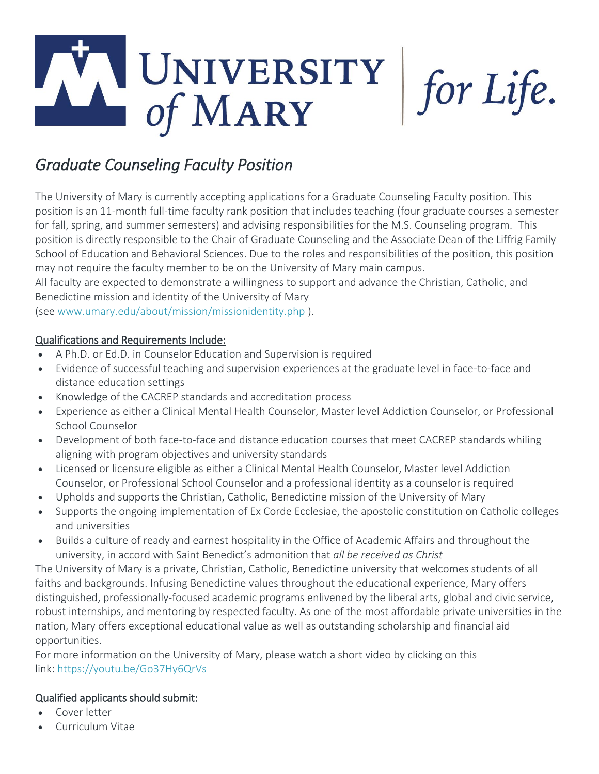## UNIVERSITY<br>of MARY for Life.

## *Graduate Counseling Faculty Position*

The University of Mary is currently accepting applications for a Graduate Counseling Faculty position. This position is an 11-month full-time faculty rank position that includes teaching (four graduate courses a semester for fall, spring, and summer semesters) and advising responsibilities for the M.S. Counseling program. This position is directly responsible to the Chair of Graduate Counseling and the Associate Dean of the Liffrig Family School of Education and Behavioral Sciences. Due to the roles and responsibilities of the position, this position may not require the faculty member to be on the University of Mary main campus.

All faculty are expected to demonstrate a willingness to support and advance the Christian, Catholic, and Benedictine mission and identity of the University of Mary

(see [www.umary.edu/about/mission/missionidentity.php](http://www.umary.edu/about/mission/missionidentity.php) ).

## Qualifications and Requirements Include:

- A Ph.D. or Ed.D. in Counselor Education and Supervision is required
- Evidence of successful teaching and supervision experiences at the graduate level in face-to-face and distance education settings
- Knowledge of the CACREP standards and accreditation process
- Experience as either a Clinical Mental Health Counselor, Master level Addiction Counselor, or Professional School Counselor
- Development of both face-to-face and distance education courses that meet CACREP standards whiling aligning with program objectives and university standards
- Licensed or licensure eligible as either a Clinical Mental Health Counselor, Master level Addiction Counselor, or Professional School Counselor and a professional identity as a counselor is required
- Upholds and supports the Christian, Catholic, Benedictine mission of the University of Mary
- Supports the ongoing implementation of Ex Corde Ecclesiae, the apostolic constitution on Catholic colleges and universities
- Builds a culture of ready and earnest hospitality in the Office of Academic Affairs and throughout the university, in accord with Saint Benedict's admonition that *all be received as Christ*

The University of Mary is a private, Christian, Catholic, Benedictine university that welcomes students of all faiths and backgrounds. Infusing Benedictine values throughout the educational experience, Mary offers distinguished, professionally-focused academic programs enlivened by the liberal arts, global and civic service, robust internships, and mentoring by respected faculty. As one of the most affordable private universities in the nation, Mary offers exceptional educational value as well as outstanding scholarship and financial aid opportunities.

For more information on the University of Mary, please watch a short video by clicking on this link: <https://youtu.be/Go37Hy6QrVs>

## Qualified applicants should submit:

- Cover letter
- Curriculum Vitae